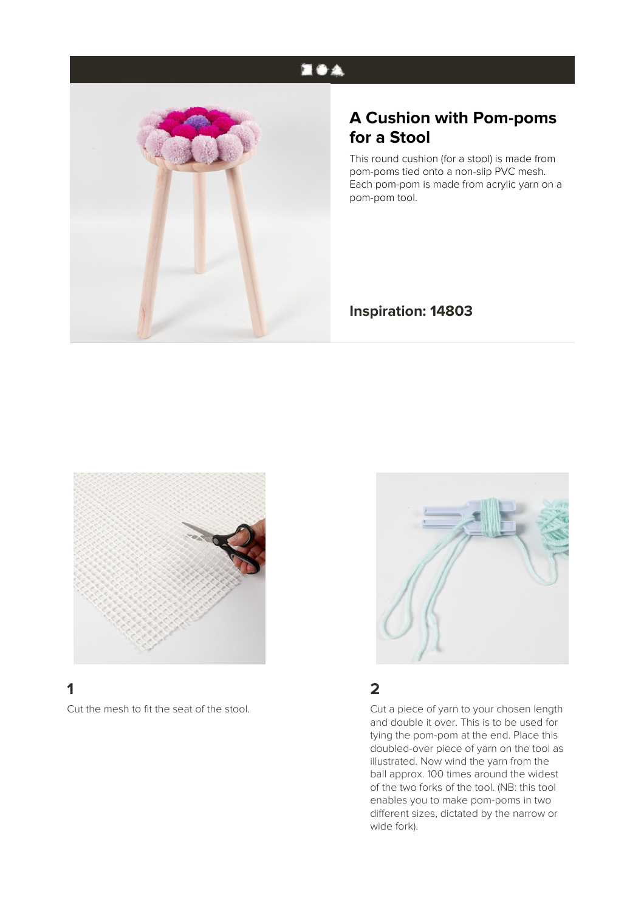### **EOA**



### **A Cushion with Pom-poms for a Stool**

This round cushion (for a stool) is made from pom-poms tied onto a non-slip PVC mesh. Each pom-pom is made from acrylic yarn on a pom-pom tool.

#### **Inspiration: 14803**



## **1**

Cut the mesh to fit the seat of the stool.



#### **2**

Cut a piece of yarn to your chosen length and double it over. This is to be used for tying the pom-pom at the end. Place this doubled-over piece of yarn on the tool as illustrated. Now wind the yarn from the ball approx. 100 times around the widest of the two forks of the tool. (NB: this tool enables you to make pom-poms in two different sizes, dictated by the narrow or wide fork).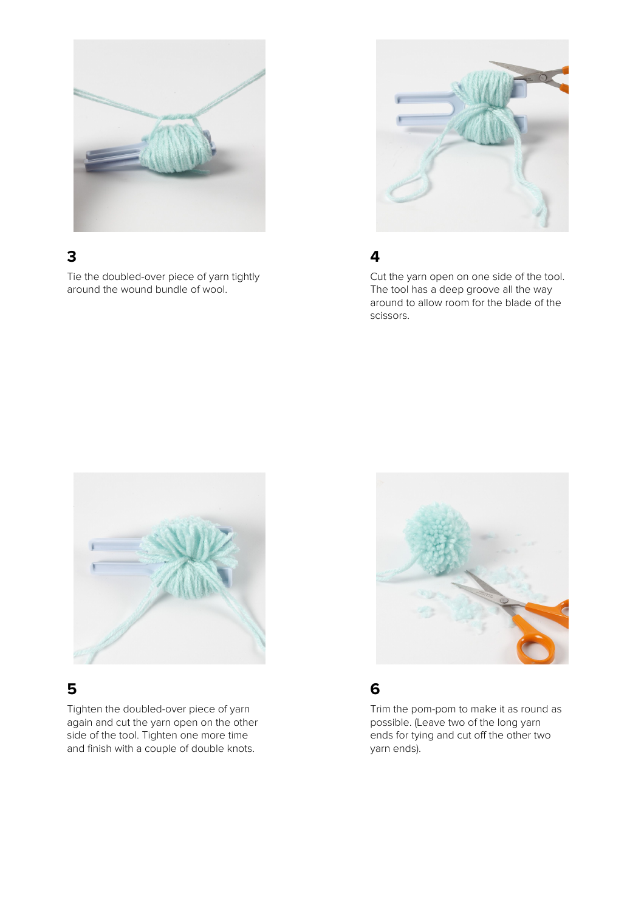

### **3**

Tie the doubled-over piece of yarn tightly around the wound bundle of wool.



### **4**

Cut the yarn open on one side of the tool. The tool has a deep groove all the way around to allow room for the blade of the scissors.



### **5**

Tighten the doubled-over piece of yarn again and cut the yarn open on the other side of the tool. Tighten one more time and finish with a couple of double knots.



### **6**

Trim the pom-pom to make it as round as possible. (Leave two of the long yarn ends for tying and cut off the other two yarn ends).